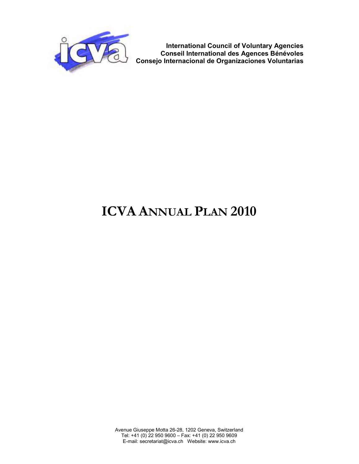

**International Council of Voluntary Agencies Conseil International des Agences Bénévoles Consejo Internacional de Organizaciones Voluntarias**

# **ICVA ANNUAL PLAN 2010**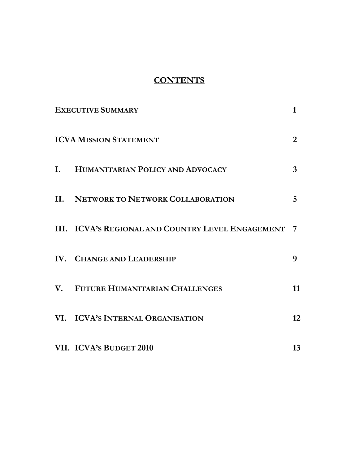#### **CONTENTS**

| <b>EXECUTIVE SUMMARY</b>                            | 1                |
|-----------------------------------------------------|------------------|
| <b>ICVA MISSION STATEMENT</b>                       | $\overline{2}$   |
| I. HUMANITARIAN POLICY AND ADVOCACY                 | 3                |
| <b>II. NETWORK TO NETWORK COLLABORATION</b>         | 5                |
| III. ICVA'S REGIONAL AND COUNTRY LEVEL ENGAGEMENT 7 |                  |
| IV. CHANGE AND LEADERSHIP                           | 9                |
| V. FUTURE HUMANITARIAN CHALLENGES                   | 11               |
| VI. ICVA'S INTERNAL ORGANISATION                    | 12 <sup>12</sup> |
| VII. ICVA's BUDGET 2010                             | 13               |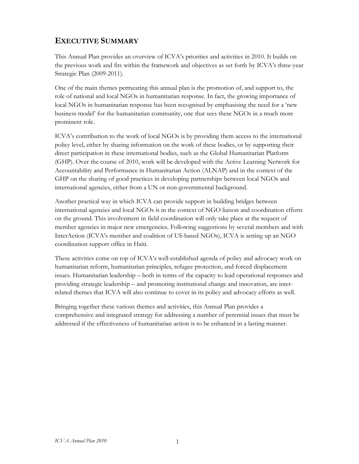#### **EXECUTIVE SUMMARY**

This Annual Plan provides an overview of ICVA's priorities and activities in 2010. It builds on the previous work and fits within the framework and objectives as set forth by ICVA's three-year Strategic Plan (2009-2011).

One of the main themes permeating this annual plan is the promotion of, and support to, the role of national and local NGOs in humanitarian response. In fact, the growing importance of local NGOs in humanitarian response has been recognised by emphasising the need for a 'new business model' for the humanitarian community, one that sees these NGOs in a much more prominent role.

ICVA's contribution to the work of local NGOs is by providing them access to the international policy level, either by sharing information on the work of these bodies, or by supporting their direct participation in these international bodies, such as the Global Humanitarian Platform (GHP). Over the course of 2010, work will be developed with the Active Learning Network for Accountability and Performance in Humanitarian Action (ALNAP) and in the context of the GHP on the sharing of good practices in developing partnerships between local NGOs and international agencies, either from a UN or non-governmental background.

Another practical way in which ICVA can provide support in building bridges between international agencies and local NGOs is in the context of NGO liaison and coordination efforts on the ground. This involvement in field coordination will only take place at the request of member agencies in major new emergencies. Following suggestions by several members and with InterAction (ICVA's member and coalition of US-based NGOs), ICVA is setting up an NGO coordination support office in Haiti.

These activities come on top of ICVA's well-established agenda of policy and advocacy work on humanitarian reform, humanitarian principles, refugee protection, and forced displacement issues. Humanitarian leadership – both in terms of the capacity to lead operational responses and providing strategic leadership – and promoting institutional change and innovation, are interrelated themes that ICVA will also continue to cover in its policy and advocacy efforts as well.

Bringing together these various themes and activities, this Annual Plan provides a comprehensive and integrated strategy for addressing a number of perennial issues that must be addressed if the effectiveness of humanitarian action is to be enhanced in a lasting manner.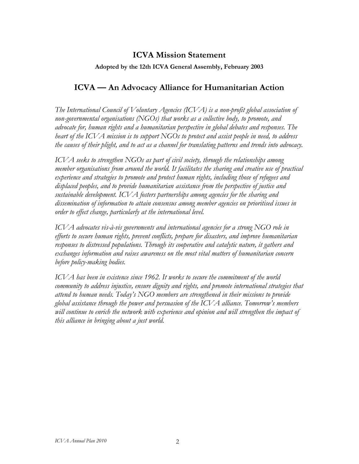#### **ICVA Mission Statement**

#### **Adopted by the 12th ICVA General Assembly, February 2003**

#### **ICVA — An Advocacy Alliance for Humanitarian Action**

*The International Council of Voluntary Agencies (ICVA) is a non-profit global association of non-governmental organisations (NGOs) that works as a collective body, to promote, and advocate for, human rights and a humanitarian perspective in global debates and responses. The heart of the ICVA mission is to support NGOs to protect and assist people in need, to address the causes of their plight, and to act as a channel for translating patterns and trends into advocacy.* 

*ICVA seeks to strengthen NGOs as part of civil society, through the relationships among member organisations from around the world. It facilitates the sharing and creative use of practical experience and strategies to promote and protect human rights, including those of refugees and displaced peoples, and to provide humanitarian assistance from the perspective of justice and sustainable development. ICVA fosters partnerships among agencies for the sharing and dissemination of information to attain consensus among member agencies on prioritised issues in order to effect change, particularly at the international level.* 

*ICVA advocates vis-à-vis governments and international agencies for a strong NGO role in efforts to secure human rights, prevent conflicts, prepare for disasters, and improve humanitarian responses to distressed populations. Through its cooperative and catalytic nature, it gathers and exchanges information and raises awareness on the most vital matters of humanitarian concern before policy-making bodies.* 

*ICVA has been in existence since 1962. It works to secure the commitment of the world community to address injustice, ensure dignity and rights, and promote international strategies that attend to human needs. Today's NGO members are strengthened in their missions to provide global assistance through the power and persuasion of the ICVA alliance. Tomorrow's members will continue to enrich the network with experience and opinion and will strengthen the impact of this alliance in bringing about a just world.*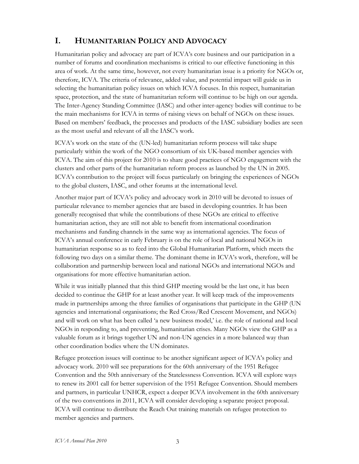#### **I. HUMANITARIAN POLICY AND ADVOCACY**

Humanitarian policy and advocacy are part of ICVA's core business and our participation in a number of forums and coordination mechanisms is critical to our effective functioning in this area of work. At the same time, however, not every humanitarian issue is a priority for NGOs or, therefore, ICVA. The criteria of relevance, added value, and potential impact will guide us in selecting the humanitarian policy issues on which ICVA focuses. In this respect, humanitarian space, protection, and the state of humanitarian reform will continue to be high on our agenda. The Inter-Agency Standing Committee (IASC) and other inter-agency bodies will continue to be the main mechanisms for ICVA in terms of raising views on behalf of NGOs on these issues. Based on members' feedback, the processes and products of the IASC subsidiary bodies are seen as the most useful and relevant of all the IASC's work.

ICVA's work on the state of the (UN-led) humanitarian reform process will take shape particularly within the work of the NGO consortium of six UK-based member agencies with ICVA. The aim of this project for 2010 is to share good practices of NGO engagement with the clusters and other parts of the humanitarian reform process as launched by the UN in 2005. ICVA's contribution to the project will focus particularly on bringing the experiences of NGOs to the global clusters, IASC, and other forums at the international level.

Another major part of ICVA's policy and advocacy work in 2010 will be devoted to issues of particular relevance to member agencies that are based in developing countries. It has been generally recognised that while the contributions of these NGOs are critical to effective humanitarian action, they are still not able to benefit from international coordination mechanisms and funding channels in the same way as international agencies. The focus of ICVA's annual conference in early February is on the role of local and national NGOs in humanitarian response so as to feed into the Global Humanitarian Platform, which meets the following two days on a similar theme. The dominant theme in ICVA's work, therefore, will be collaboration and partnership between local and national NGOs and international NGOs and organisations for more effective humanitarian action.

While it was initially planned that this third GHP meeting would be the last one, it has been decided to continue the GHP for at least another year. It will keep track of the improvements made in partnerships among the three families of organisations that participate in the GHP (UN agencies and international organisations; the Red Cross/Red Crescent Movement, and NGOs) and will work on what has been called 'a new business model,' i.e. the role of national and local NGOs in responding to, and preventing, humanitarian crises. Many NGOs view the GHP as a valuable forum as it brings together UN and non-UN agencies in a more balanced way than other coordination bodies where the UN dominates.

Refugee protection issues will continue to be another significant aspect of ICVA's policy and advocacy work. 2010 will see preparations for the 60th anniversary of the 1951 Refugee Convention and the 50th anniversary of the Statelessness Convention. ICVA will explore ways to renew its 2001 call for better supervision of the 1951 Refugee Convention. Should members and partners, in particular UNHCR, expect a deeper ICVA involvement in the 60th anniversary of the two conventions in 2011, ICVA will consider developing a separate project proposal. ICVA will continue to distribute the Reach Out training materials on refugee protection to member agencies and partners.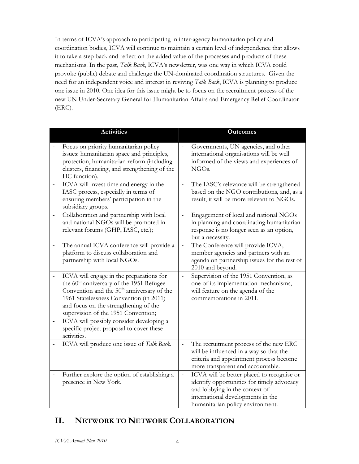In terms of ICVA's approach to participating in inter-agency humanitarian policy and coordination bodies, ICVA will continue to maintain a certain level of independence that allows it to take a step back and reflect on the added value of the processes and products of these mechanisms. In the past, *Talk Back*, ICVA's newsletter, was one way in which ICVA could provoke (public) debate and challenge the UN-dominated coordination structures. Given the need for an independent voice and interest in reviving *Talk Back*, ICVA is planning to produce one issue in 2010. One idea for this issue might be to focus on the recruitment process of the new UN Under-Secretary General for Humanitarian Affairs and Emergency Relief Coordinator (ERC).

| <b>Activities</b>                                                                                                                                                                                                                                                                                                                                                                            |                          | <b>Outcomes</b>                                                                                                                                                                                     |
|----------------------------------------------------------------------------------------------------------------------------------------------------------------------------------------------------------------------------------------------------------------------------------------------------------------------------------------------------------------------------------------------|--------------------------|-----------------------------------------------------------------------------------------------------------------------------------------------------------------------------------------------------|
| Focus on priority humanitarian policy<br>issues: humanitarian space and principles,<br>protection, humanitarian reform (including<br>clusters, financing, and strengthening of the<br>HC function).                                                                                                                                                                                          |                          | Governments, UN agencies, and other<br>international organisations will be well<br>informed of the views and experiences of<br>NGO <sub>s</sub> .                                                   |
| ICVA will invest time and energy in the<br>IASC process, especially in terms of<br>ensuring members' participation in the<br>subsidiary groups.                                                                                                                                                                                                                                              |                          | The IASC's relevance will be strengthened<br>based on the NGO contributions, and, as a<br>result, it will be more relevant to NGOs.                                                                 |
| Collaboration and partnership with local<br>and national NGOs will be promoted in<br>relevant forums (GHP, IASC, etc.);                                                                                                                                                                                                                                                                      |                          | Engagement of local and national NGOs<br>in planning and coordinating humanitarian<br>response is no longer seen as an option,<br>but a necessity.                                                  |
| The annual ICVA conference will provide a<br>platform to discuss collaboration and<br>partnership with local NGOs.                                                                                                                                                                                                                                                                           | $\overline{\phantom{0}}$ | The Conference will provide ICVA,<br>member agencies and partners with an<br>agenda on partnership issues for the rest of<br>2010 and beyond.                                                       |
| ICVA will engage in the preparations for<br>the 60 <sup>th</sup> anniversary of the 1951 Refugee<br>Convention and the 50 <sup>th</sup> anniversary of the<br>1961 Statelessness Convention (in 2011)<br>and focus on the strengthening of the<br>supervision of the 1951 Convention;<br>ICVA will possibly consider developing a<br>specific project proposal to cover these<br>activities. | $\frac{1}{2}$            | Supervision of the 1951 Convention, as<br>one of its implementation mechanisms,<br>will feature on the agenda of the<br>commemorations in 2011.                                                     |
| ICVA will produce one issue of Talk Back.                                                                                                                                                                                                                                                                                                                                                    |                          | The recruitment process of the new ERC<br>will be influenced in a way so that the<br>criteria and appointment process become<br>more transparent and accountable.                                   |
| Further explore the option of establishing a<br>presence in New York.                                                                                                                                                                                                                                                                                                                        |                          | ICVA will be better placed to recognise or<br>identify opportunities for timely advocacy<br>and lobbying in the context of<br>international developments in the<br>humanitarian policy environment. |

### **II. NETWORK TO NETWORK COLLABORATION**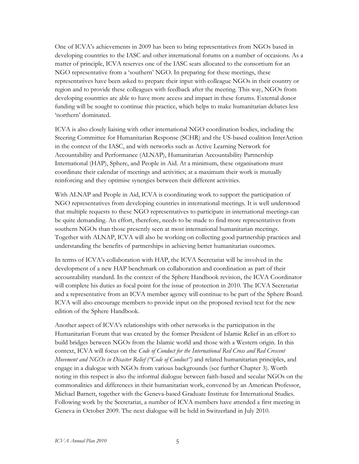One of ICVA's achievements in 2009 has been to bring representatives from NGOs based in developing countries to the IASC and other international forums on a number of occasions. As a matter of principle, ICVA reserves one of the IASC seats allocated to the consortium for an NGO representative from a 'southern' NGO. In preparing for these meetings, these representatives have been asked to prepare their input with colleague NGOs in their country or region and to provide these colleagues with feedback after the meeting. This way, NGOs from developing countries are able to have more access and impact in these forums. External donor funding will be sought to continue this practice, which helps to make humanitarian debates less 'northern' dominated.

ICVA is also closely liaising with other international NGO coordination bodies, including the Steering Committee for Humanitarian Response (SCHR) and the US-based coalition InterAction in the context of the IASC, and with networks such as Active Learning Network for Accountability and Performance (ALNAP), Humanitarian Accountability Partnership International (HAP), Sphere, and People in Aid. At a minimum, these organisations must coordinate their calendar of meetings and activities; at a maximum their work is mutually reinforcing and they optimise synergies between their different activities.

With ALNAP and People in Aid, ICVA is coordinating work to support the participation of NGO representatives from developing countries in international meetings. It is well understood that multiple requests to these NGO representatives to participate in international meetings can be quite demanding. An effort, therefore, needs to be made to find more representatives from southern NGOs than those presently seen at most international humanitarian meetings. Together with ALNAP, ICVA will also be working on collecting good partnership practices and understanding the benefits of partnerships in achieving better humanitarian outcomes.

In terms of ICVA's collaboration with HAP, the ICVA Secretariat will be involved in the development of a new HAP benchmark on collaboration and coordination as part of their accountability standard. In the context of the Sphere Handbook revision, the ICVA Coordinator will complete his duties as focal point for the issue of protection in 2010. The ICVA Secretariat and a representative from an ICVA member agency will continue to be part of the Sphere Board. ICVA will also encourage members to provide input on the proposed revised text for the new edition of the Sphere Handbook.

Another aspect of ICVA's relationships with other networks is the participation in the Humanitarian Forum that was created by the former President of Islamic Relief in an effort to build bridges between NGOs from the Islamic world and those with a Western origin. In this context, ICVA will focus on the *Code of Conduct for the International Red Cross and Red Crescent Movement and NGOs in Disaster Relief ("Code of Conduct")* and related humanitarian principles, and engage in a dialogue with NGOs from various backgrounds (see further Chapter 3). Worth noting in this respect is also the informal dialogue between faith-based and secular NGOs on the commonalities and differences in their humanitarian work, convened by an American Professor, Michael Barnett, together with the Geneva-based Graduate Institute for International Studies. Following work by the Secretariat, a number of ICVA members have attended a first meeting in Geneva in October 2009. The next dialogue will be held in Switzerland in July 2010.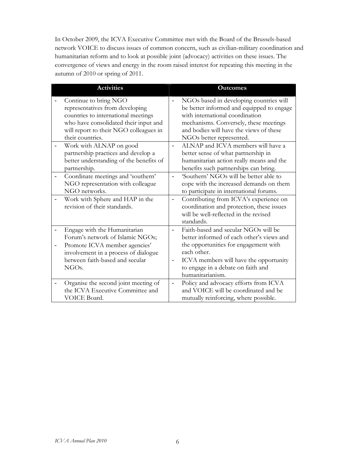In October 2009, the ICVA Executive Committee met with the Board of the Brussels-based network VOICE to discuss issues of common concern, such as civilian-military coordination and humanitarian reform and to look at possible joint (advocacy) activities on these issues. The convergence of views and energy in the room raised interest for repeating this meeting in the autumn of 2010 or spring of 2011.

| <b>Activities</b>                                                                                                                                                                                      |                              | <b>Outcomes</b>                                                                                                                                                                                                                               |
|--------------------------------------------------------------------------------------------------------------------------------------------------------------------------------------------------------|------------------------------|-----------------------------------------------------------------------------------------------------------------------------------------------------------------------------------------------------------------------------------------------|
| Continue to bring NGO<br>representatives from developing<br>countries to international meetings<br>who have consolidated their input and<br>will report to their NGO colleagues in<br>their countries. |                              | NGOs based in developing countries will<br>be better informed and equipped to engage<br>with international coordination<br>mechanisms. Conversely, these meetings<br>and bodies will have the views of these<br>NGOs better represented.      |
| Work with ALNAP on good<br>partnership practices and develop a<br>better understanding of the benefits of<br>partnership.                                                                              |                              | ALNAP and ICVA members will have a<br>better sense of what partnership in<br>humanitarian action really means and the<br>benefits such partnerships can bring.                                                                                |
| Coordinate meetings and 'southern'<br>NGO representation with colleague<br>NGO networks.                                                                                                               |                              | 'Southern' NGOs will be better able to<br>cope with the increased demands on them<br>to participate in international forums.                                                                                                                  |
| Work with Sphere and HAP in the<br>revision of their standards.                                                                                                                                        | $\qquad \qquad \blacksquare$ | Contributing from ICVA's experience on<br>coordination and protection, these issues<br>will be well-reflected in the revised<br>standards.                                                                                                    |
| Engage with the Humanitarian<br>Forum's network of Islamic NGOs;<br>Promote ICVA member agencies'<br>involvement in a process of dialogue<br>between faith-based and secular<br>NGOs.                  |                              | Faith-based and secular NGOs will be<br>better informed of each other's views and<br>the opportunities for engagement with<br>each other.<br>ICVA members will have the opportunity<br>to engage in a debate on faith and<br>humanitarianism. |
| Organise the second joint meeting of<br>the ICVA Executive Committee and<br>VOICE Board.                                                                                                               | $\qquad \qquad \blacksquare$ | Policy and advocacy efforts from ICVA<br>and VOICE will be coordinated and be<br>mutually reinforcing, where possible.                                                                                                                        |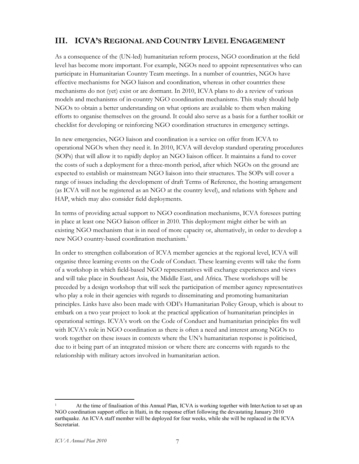#### **III. ICVA'S REGIONAL AND COUNTRY LEVEL ENGAGEMENT**

As a consequence of the (UN-led) humanitarian reform process, NGO coordination at the field level has become more important. For example, NGOs need to appoint representatives who can participate in Humanitarian Country Team meetings. In a number of countries, NGOs have effective mechanisms for NGO liaison and coordination, whereas in other countries these mechanisms do not (yet) exist or are dormant. In 2010, ICVA plans to do a review of various models and mechanisms of in-country NGO coordination mechanisms. This study should help NGOs to obtain a better understanding on what options are available to them when making efforts to organise themselves on the ground. It could also serve as a basis for a further toolkit or checklist for developing or reinforcing NGO coordination structures in emergency settings.

In new emergencies, NGO liaison and coordination is a service on offer from ICVA to operational NGOs when they need it. In 2010, ICVA will develop standard operating procedures (SOPs) that will allow it to rapidly deploy an NGO liaison officer. It maintains a fund to cover the costs of such a deployment for a three-month period, after which NGOs on the ground are expected to establish or mainstream NGO liaison into their structures. The SOPs will cover a range of issues including the development of draft Terms of Reference, the hosting arrangement (as ICVA will not be registered as an NGO at the country level), and relations with Sphere and HAP, which may also consider field deployments.

In terms of providing actual support to NGO coordination mechanisms, ICVA foresees putting in place at least one NGO liaison officer in 2010. This deployment might either be with an existing NGO mechanism that is in need of more capacity or, alternatively, in order to develop a new NGO country-based coordination mechanism.<sup>1</sup>

In order to strengthen collaboration of ICVA member agencies at the regional level, ICVA will organise three learning events on the Code of Conduct. These learning events will take the form of a workshop in which field-based NGO representatives will exchange experiences and views and will take place in Southeast Asia, the Middle East, and Africa. These workshops will be preceded by a design workshop that will seek the participation of member agency representatives who play a role in their agencies with regards to disseminating and promoting humanitarian principles. Links have also been made with ODI's Humanitarian Policy Group, which is about to embark on a two year project to look at the practical application of humanitarian principles in operational settings. ICVA's work on the Code of Conduct and humanitarian principles fits well with ICVA's role in NGO coordination as there is often a need and interest among NGOs to work together on these issues in contexts where the UN's humanitarian response is politicised, due to it being part of an integrated mission or where there are concerns with regards to the relationship with military actors involved in humanitarian action.

<u>.</u>

<sup>1</sup> At the time of finalisation of this Annual Plan, ICVA is working together with InterAction to set up an NGO coordination support office in Haiti, in the response effort following the devastating January 2010 earthquake. An ICVA staff member will be deployed for four weeks, while she will be replaced in the ICVA Secretariat.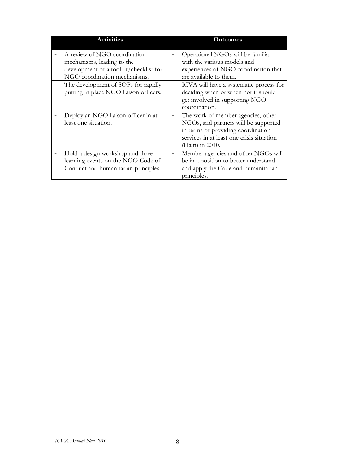| <b>Activities</b>                                                                                                                    |   | <b>Outcomes</b>                                                                                                                                                                   |
|--------------------------------------------------------------------------------------------------------------------------------------|---|-----------------------------------------------------------------------------------------------------------------------------------------------------------------------------------|
| A review of NGO coordination<br>mechanisms, leading to the<br>development of a toolkit/checklist for<br>NGO coordination mechanisms. |   | Operational NGOs will be familiar<br>with the various models and<br>experiences of NGO coordination that<br>are available to them.                                                |
| The development of SOPs for rapidly<br>putting in place NGO liaison officers.                                                        | - | ICVA will have a systematic process for<br>deciding when or when not it should<br>get involved in supporting NGO<br>coordination.                                                 |
| Deploy an NGO liaison officer in at<br>least one situation.                                                                          | - | The work of member agencies, other<br>NGOs, and partners will be supported<br>in terms of providing coordination<br>services in at least one crisis situation<br>(Haiti) in 2010. |
| Hold a design workshop and three<br>learning events on the NGO Code of<br>Conduct and humanitarian principles.                       |   | Member agencies and other NGOs will<br>be in a position to better understand<br>and apply the Code and humanitarian<br>principles.                                                |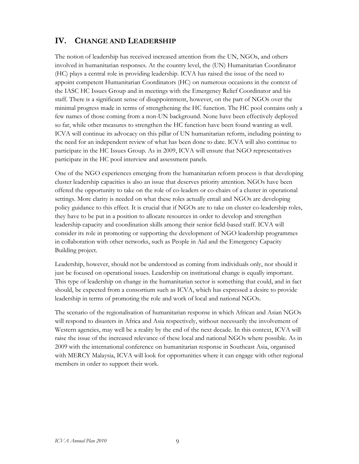#### **IV. CHANGE AND LEADERSHIP**

The notion of leadership has received increased attention from the UN, NGOs, and others involved in humanitarian responses. At the country level, the (UN) Humanitarian Coordinator (HC) plays a central role in providing leadership. ICVA has raised the issue of the need to appoint competent Humanitarian Coordinators (HC) on numerous occasions in the context of the IASC HC Issues Group and in meetings with the Emergency Relief Coordinator and his staff. There is a significant sense of disappointment, however, on the part of NGOs over the minimal progress made in terms of strengthening the HC function. The HC pool contains only a few names of those coming from a non-UN background. None have been effectively deployed so far, while other measures to strengthen the HC function have been found wanting as well. ICVA will continue its advocacy on this pillar of UN humanitarian reform, including pointing to the need for an independent review of what has been done to date. ICVA will also continue to participate in the HC Issues Group. As in 2009, ICVA will ensure that NGO representatives participate in the HC pool interview and assessment panels.

One of the NGO experiences emerging from the humanitarian reform process is that developing cluster leadership capacities is also an issue that deserves priority attention. NGOs have been offered the opportunity to take on the role of co-leaders or co-chairs of a cluster in operational settings. More clarity is needed on what these roles actually entail and NGOs are developing policy guidance to this effect. It is crucial that if NGOs are to take on cluster co-leadership roles, they have to be put in a position to allocate resources in order to develop and strengthen leadership capacity and coordination skills among their senior field-based staff. ICVA will consider its role in promoting or supporting the development of NGO leadership programmes in collaboration with other networks, such as People in Aid and the Emergency Capacity Building project.

Leadership, however, should not be understood as coming from individuals only, nor should it just be focused on operational issues. Leadership on institutional change is equally important. This type of leadership on change in the humanitarian sector is something that could, and in fact should, be expected from a consortium such as ICVA, which has expressed a desire to provide leadership in terms of promoting the role and work of local and national NGOs.

The scenario of the regionalisation of humanitarian response in which African and Asian NGOs will respond to disasters in Africa and Asia respectively, without necessarily the involvement of Western agencies, may well be a reality by the end of the next decade. In this context, ICVA will raise the issue of the increased relevance of these local and national NGOs where possible. As in 2009 with the international conference on humanitarian response in Southeast Asia, organised with MERCY Malaysia, ICVA will look for opportunities where it can engage with other regional members in order to support their work.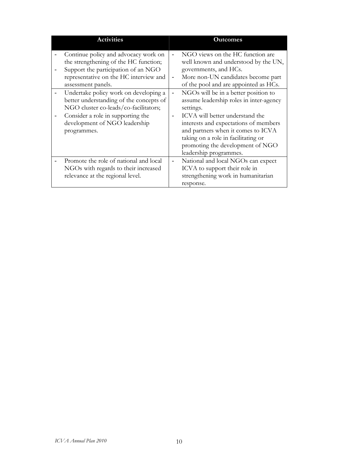| <b>Activities</b>                                                                                                                                                                                                                                                                                                                                                                                      |                                                      | <b>Outcomes</b>                                                                                                                                                                                                                                                                                                                                                                                                                                                                                         |
|--------------------------------------------------------------------------------------------------------------------------------------------------------------------------------------------------------------------------------------------------------------------------------------------------------------------------------------------------------------------------------------------------------|------------------------------------------------------|---------------------------------------------------------------------------------------------------------------------------------------------------------------------------------------------------------------------------------------------------------------------------------------------------------------------------------------------------------------------------------------------------------------------------------------------------------------------------------------------------------|
| Continue policy and advocacy work on<br>the strengthening of the HC function;<br>Support the participation of an NGO<br>representative on the HC interview and<br>assessment panels.<br>Undertake policy work on developing a<br>better understanding of the concepts of<br>NGO cluster co-leads/co-facilitators;<br>Consider a role in supporting the<br>development of NGO leadership<br>programmes. | $\overline{\phantom{a}}$<br>$\overline{\phantom{a}}$ | NGO views on the HC function are<br>well known and understood by the UN,<br>governments, and HCs.<br>More non-UN candidates become part<br>of the pool and are appointed as HCs.<br>NGOs will be in a better position to<br>assume leadership roles in inter-agency<br>settings.<br>ICVA will better understand the<br>interests and expectations of members<br>and partners when it comes to ICVA<br>taking on a role in facilitating or<br>promoting the development of NGO<br>leadership programmes. |
| Promote the role of national and local<br>NGOs with regards to their increased<br>relevance at the regional level.                                                                                                                                                                                                                                                                                     | $\overline{\phantom{a}}$                             | National and local NGOs can expect<br>ICVA to support their role in<br>strengthening work in humanitarian<br>response.                                                                                                                                                                                                                                                                                                                                                                                  |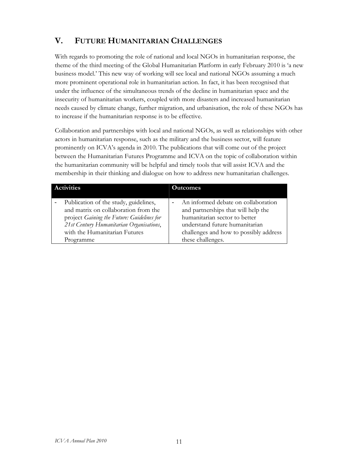# **V. FUTURE HUMANITARIAN CHALLENGES**

With regards to promoting the role of national and local NGOs in humanitarian response, the theme of the third meeting of the Global Humanitarian Platform in early February 2010 is 'a new business model.' This new way of working will see local and national NGOs assuming a much more prominent operational role in humanitarian action. In fact, it has been recognised that under the influence of the simultaneous trends of the decline in humanitarian space and the insecurity of humanitarian workers, coupled with more disasters and increased humanitarian needs caused by climate change, further migration, and urbanisation, the role of these NGOs has to increase if the humanitarian response is to be effective.

Collaboration and partnerships with local and national NGOs, as well as relationships with other actors in humanitarian response, such as the military and the business sector, will feature prominently on ICVA's agenda in 2010. The publications that will come out of the project between the Humanitarian Futures Programme and ICVA on the topic of collaboration within the humanitarian community will be helpful and timely tools that will assist ICVA and the membership in their thinking and dialogue on how to address new humanitarian challenges.

| <b>Activities</b>                          | <b>Outcomes</b>                        |  |  |
|--------------------------------------------|----------------------------------------|--|--|
| Publication of the study, guidelines,      | An informed debate on collaboration    |  |  |
| and matrix on collaboration from the       | and partnerships that will help the    |  |  |
| project Gaining the Future: Guidelines for | humanitarian sector to better          |  |  |
| 21st Century Humanitarian Organisations,   | understand future humanitarian         |  |  |
| with the Humanitarian Futures              | challenges and how to possibly address |  |  |
| Programme                                  | these challenges.                      |  |  |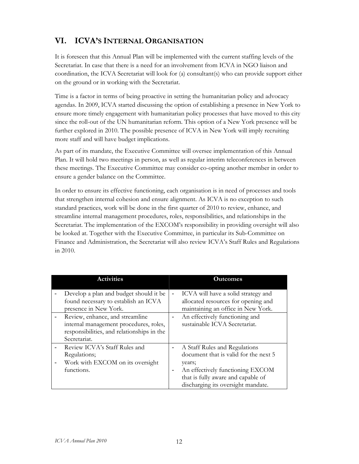# **VI. ICVA'S INTERNAL ORGANISATION**

It is foreseen that this Annual Plan will be implemented with the current staffing levels of the Secretariat. In case that there is a need for an involvement from ICVA in NGO liaison and coordination, the ICVA Secretariat will look for (a) consultant(s) who can provide support either on the ground or in working with the Secretariat.

Time is a factor in terms of being proactive in setting the humanitarian policy and advocacy agendas. In 2009, ICVA started discussing the option of establishing a presence in New York to ensure more timely engagement with humanitarian policy processes that have moved to this city since the roll-out of the UN humanitarian reform. This option of a New York presence will be further explored in 2010. The possible presence of ICVA in New York will imply recruiting more staff and will have budget implications.

As part of its mandate, the Executive Committee will oversee implementation of this Annual Plan. It will hold two meetings in person, as well as regular interim teleconferences in between these meetings. The Executive Committee may consider co-opting another member in order to ensure a gender balance on the Committee.

In order to ensure its effective functioning, each organisation is in need of processes and tools that strengthen internal cohesion and ensure alignment. As ICVA is no exception to such standard practices, work will be done in the first quarter of 2010 to review, enhance, and streamline internal management procedures, roles, responsibilities, and relationships in the Secretariat. The implementation of the EXCOM's responsibility in providing oversight will also be looked at. Together with the Executive Committee, in particular its Sub-Committee on Finance and Administration, the Secretariat will also review ICVA's Staff Rules and Regulations in 2010.

| <b>Activities</b>                                                                                                                       |   | <b>Outcomes</b>                                                                                                                                            |
|-----------------------------------------------------------------------------------------------------------------------------------------|---|------------------------------------------------------------------------------------------------------------------------------------------------------------|
| Develop a plan and budget should it be<br>found necessary to establish an ICVA<br>presence in New York.                                 | - | ICVA will have a solid strategy and<br>allocated resources for opening and<br>maintaining an office in New York.                                           |
| Review, enhance, and streamline<br>internal management procedures, roles,<br>responsibilities, and relationships in the<br>Secretariat. |   | An effectively functioning and<br>sustainable ICVA Secretariat.                                                                                            |
| Review ICVA's Staff Rules and<br>Regulations;<br>Work with EXCOM on its oversight<br>functions.                                         | - | A Staff Rules and Regulations<br>document that is valid for the next 5<br>years;<br>An effectively functioning EXCOM<br>that is fully aware and capable of |
|                                                                                                                                         |   | discharging its oversight mandate.                                                                                                                         |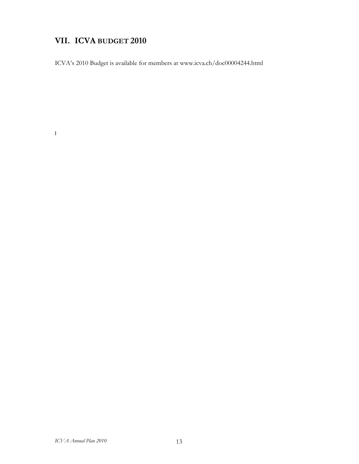# **VII. ICVA BUDGET 2010**

I

ICVA's 2010 Budget is available for members at www.icva.ch/doc00004244.html